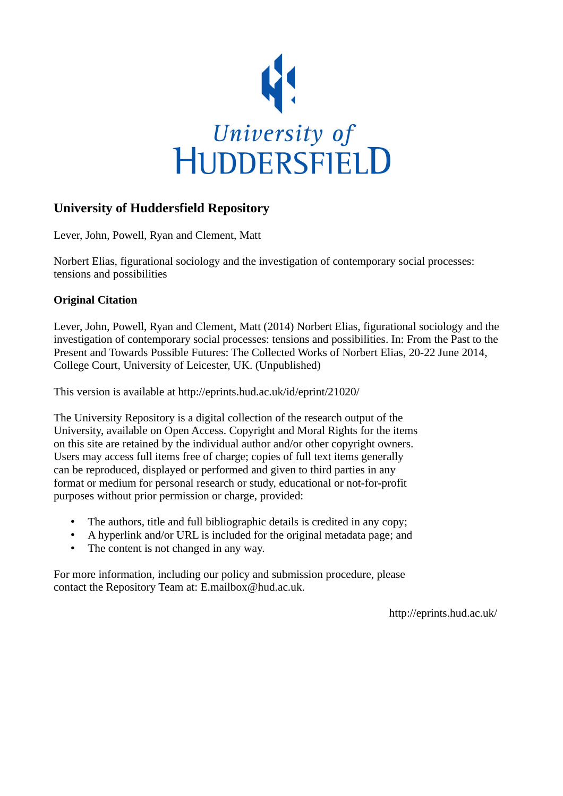

#### **University of Huddersfield Repository**

Lever, John, Powell, Ryan and Clement, Matt

Norbert Elias, figurational sociology and the investigation of contemporary social processes: tensions and possibilities

#### **Original Citation**

Lever, John, Powell, Ryan and Clement, Matt (2014) Norbert Elias, figurational sociology and the investigation of contemporary social processes: tensions and possibilities. In: From the Past to the Present and Towards Possible Futures: The Collected Works of Norbert Elias, 20-22 June 2014, College Court, University of Leicester, UK. (Unpublished)

This version is available at http://eprints.hud.ac.uk/id/eprint/21020/

The University Repository is a digital collection of the research output of the University, available on Open Access. Copyright and Moral Rights for the items on this site are retained by the individual author and/or other copyright owners. Users may access full items free of charge; copies of full text items generally can be reproduced, displayed or performed and given to third parties in any format or medium for personal research or study, educational or not-for-profit purposes without prior permission or charge, provided:

- The authors, title and full bibliographic details is credited in any copy;
- A hyperlink and/or URL is included for the original metadata page; and
- The content is not changed in any way.

For more information, including our policy and submission procedure, please contact the Repository Team at: E.mailbox@hud.ac.uk.

http://eprints.hud.ac.uk/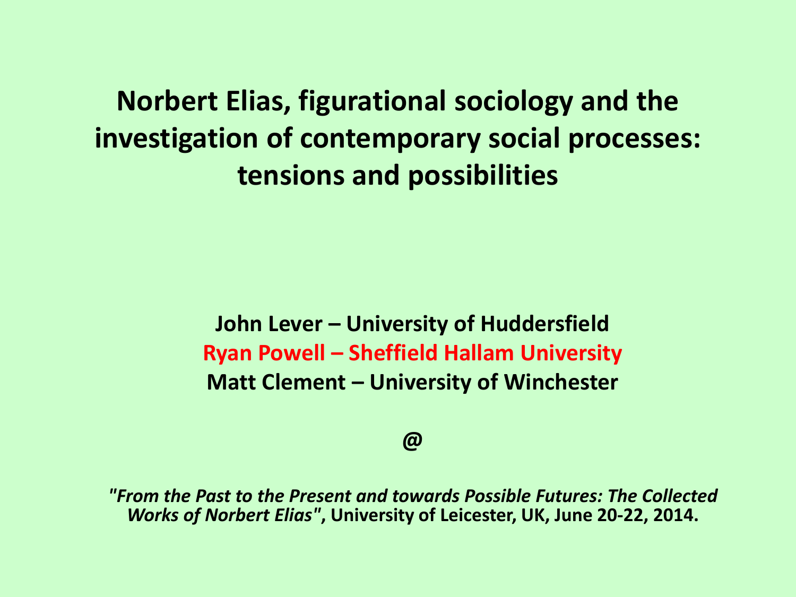**Norbert Elias, figurational sociology and the investigation of contemporary social processes: tensions and possibilities**

> **John Lever – University of Huddersfield Ryan Powell – Sheffield Hallam University Matt Clement – University of Winchester**

#### **@**

*"From the Past to the Present and towards Possible Futures: The Collected Works of Norbert Elias"***, University of Leicester, UK, June 20-22, 2014.**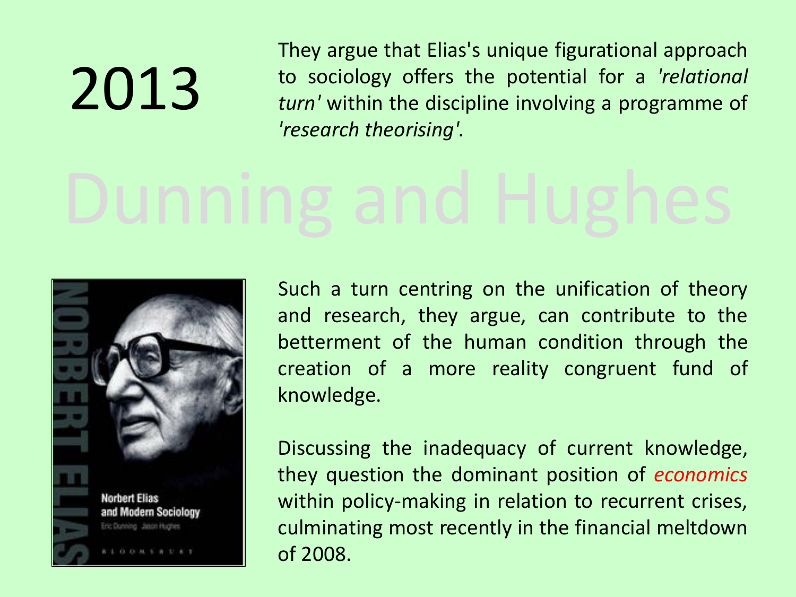# 2013

They argue that Elias's unique figurational approach to sociology offers the potential for a *'relational turn'* within the discipline involving a programme of *'research theorising'.* 



Such a turn centring on the unification of theory and research, they argue, can contribute to the betterment of the human condition through the creation of a more reality congruent fund of knowledge.

Discussing the inadequacy of current knowledge, they question the dominant position of *economics* within policy-making in relation to recurrent crises, culminating most recently in the financial meltdown of 2008.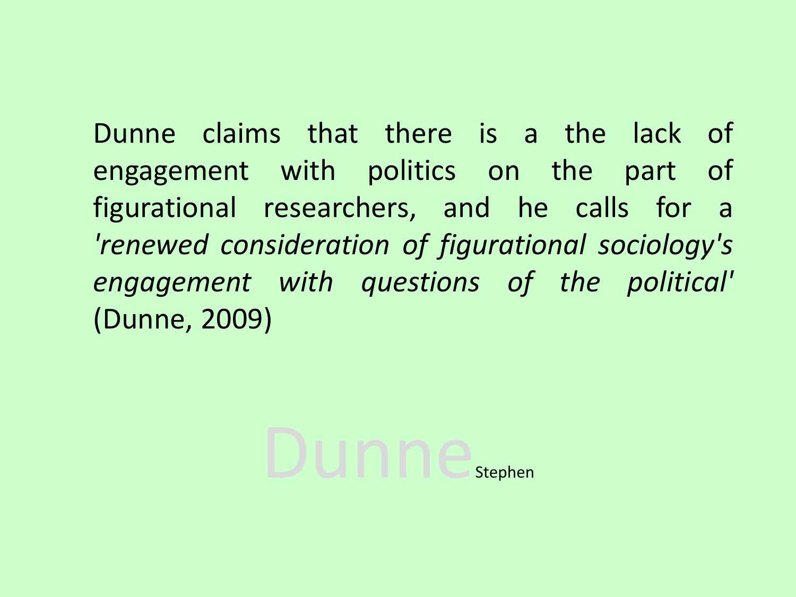Dunne claims that there is a the lack of engagement with politics on the part of figurational researchers, and he calls for a *'renewed consideration of figurational sociology's engagement with questions of the political'* (Dunne, 2009)

Dunne<sub>Stephen</sub>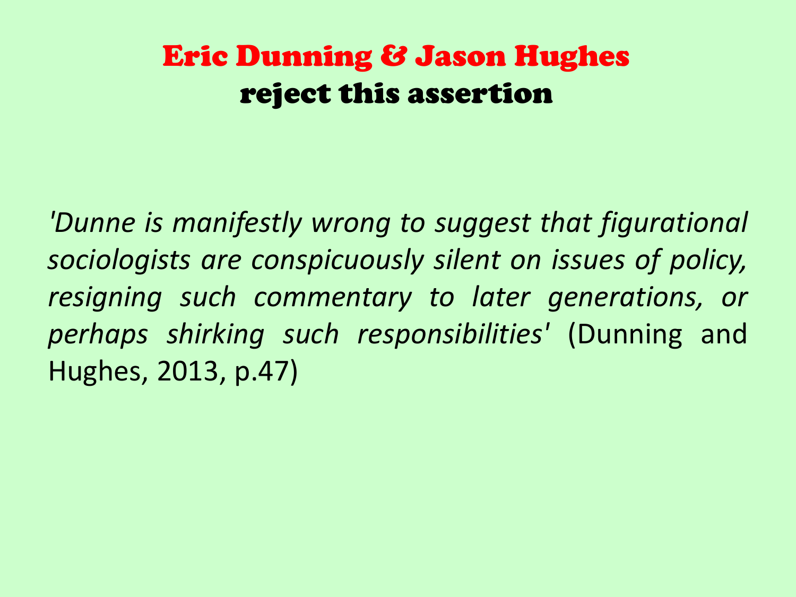#### Eric Dunning & Jason Hughes reject this assertion

*'Dunne is manifestly wrong to suggest that figurational sociologists are conspicuously silent on issues of policy, resigning such commentary to later generations, or perhaps shirking such responsibilities'* (Dunning and Hughes, 2013, p.47)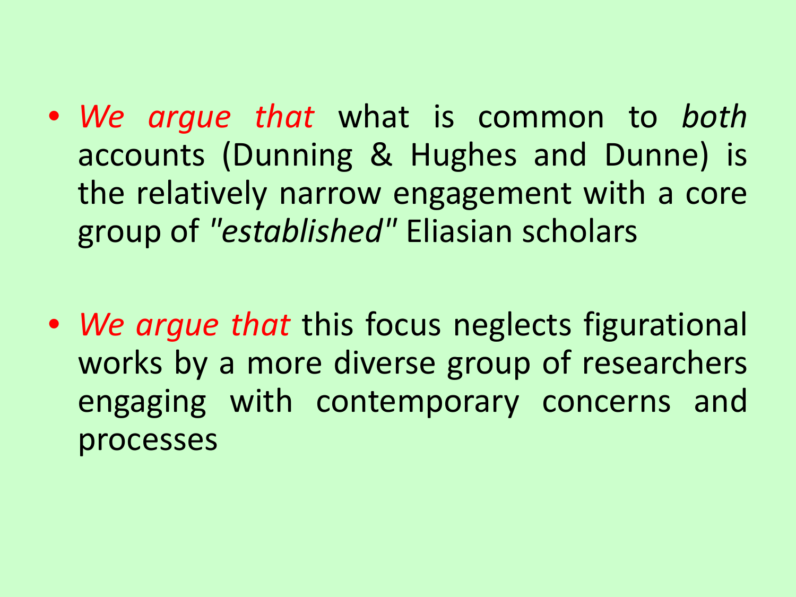- *We argue that* what is common to *both* accounts (Dunning & Hughes and Dunne) is the relatively narrow engagement with a core group of *"established"* Eliasian scholars
- *We argue that* this focus neglects figurational works by a more diverse group of researchers engaging with contemporary concerns and processes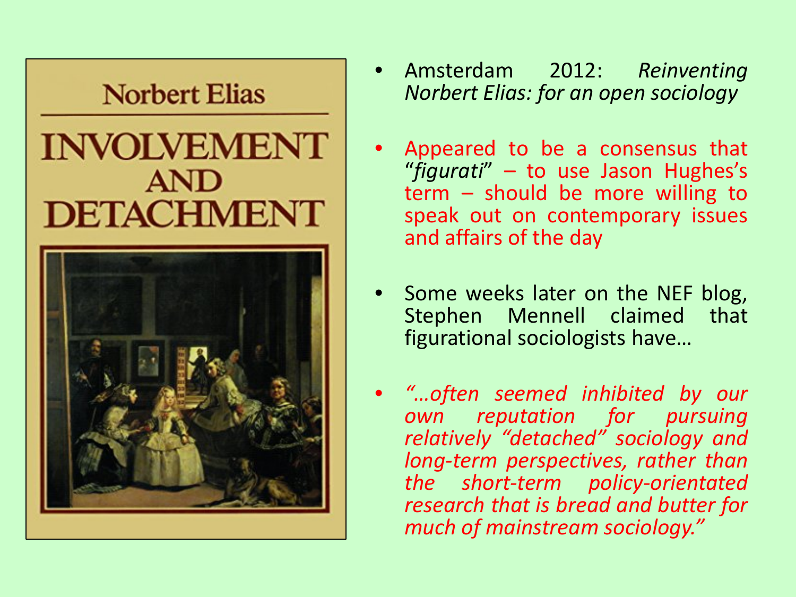#### **Norbert Elias**

### **INVOLVEMENT AND DETACHMENT**



- Amsterdam 2012: *Reinventing Norbert Elias: for an open sociology*
- Appeared to be a consensus that "*figurati*" – to use Jason Hughes's term – should be more willing to speak out on contemporary issues and affairs of the day
- Some weeks later on the NEF blog, Stephen Mennell claimed that figurational sociologists have…
	- *"…often seemed inhibited by our own reputation for pursuing relatively "detached" sociology and long-term perspectives, rather than the short-term policy-orientated research that is bread and butter for much of mainstream sociology."*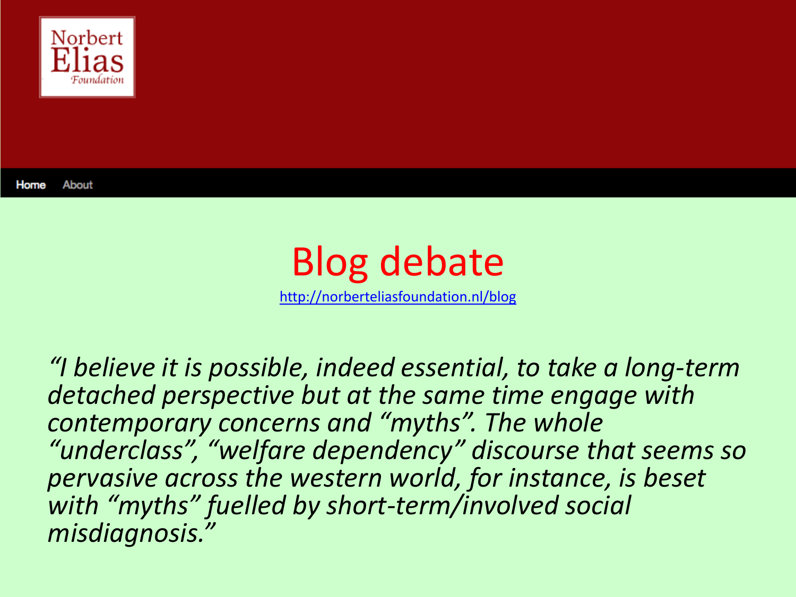

About Home



*"I believe it is possible, indeed essential, to take a long-term detached perspective but at the same time engage with contemporary concerns and "myths". The whole "underclass", "welfare dependency" discourse that seems so pervasive across the western world, for instance, is beset with "myths" fuelled by short-term/involved social misdiagnosis."*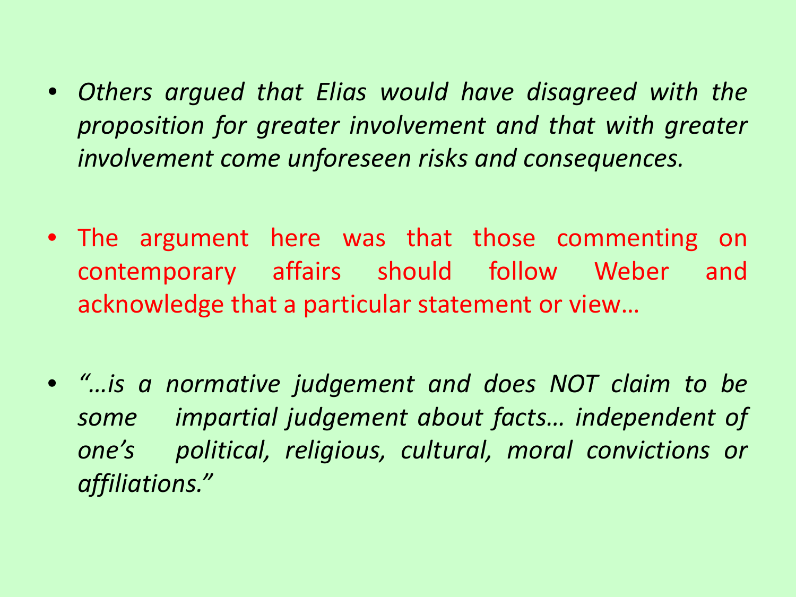- *Others argued that Elias would have disagreed with the proposition for greater involvement and that with greater involvement come unforeseen risks and consequences.*
- The argument here was that those commenting on contemporary affairs should follow Weber and acknowledge that a particular statement or view…
- *"…is a normative judgement and does NOT claim to be some impartial judgement about facts… independent of one's political, religious, cultural, moral convictions or affiliations."*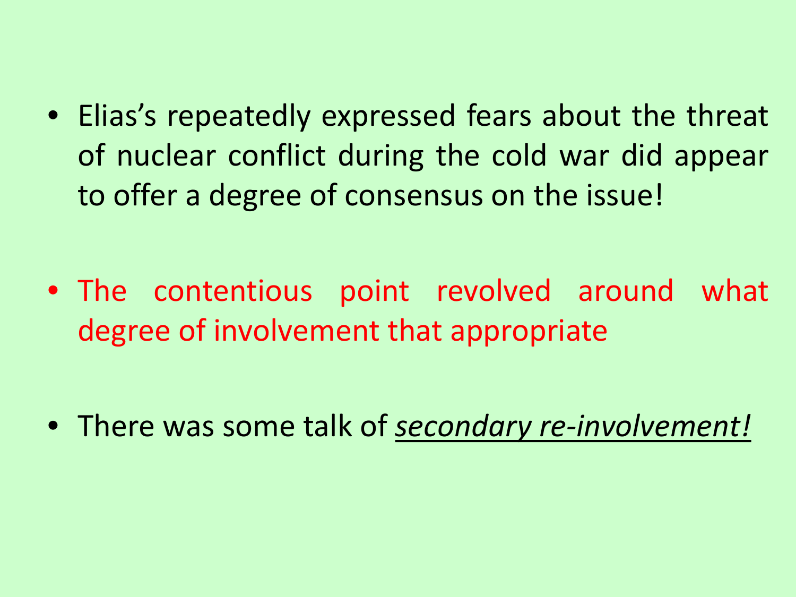• Elias's repeatedly expressed fears about the threat of nuclear conflict during the cold war did appear to offer a degree of consensus on the issue!

• The contentious point revolved around what degree of involvement that appropriate

• There was some talk of *secondary re-involvement!*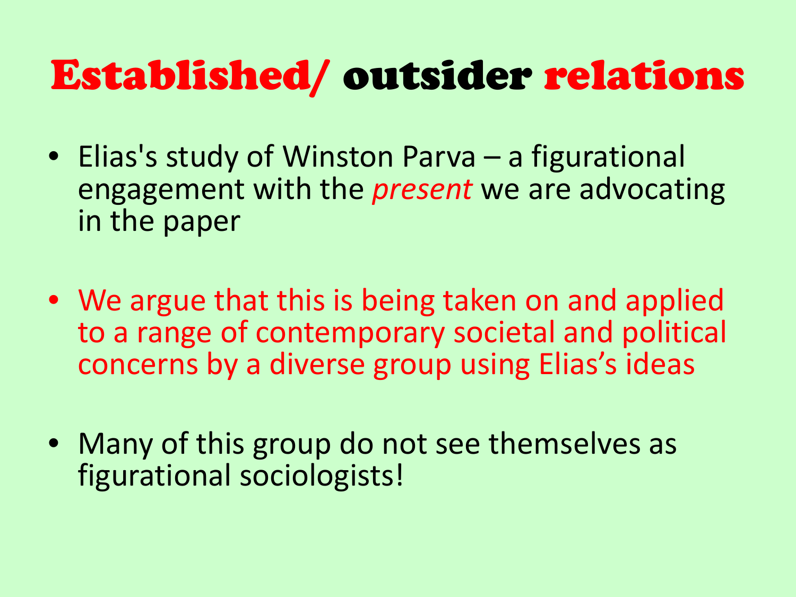## Established/ outsider relations

- Elias's study of Winston Parva a figurational engagement with the *present* we are advocating in the paper
- We argue that this is being taken on and applied to a range of contemporary societal and political concerns by a diverse group using Elias's ideas
- Many of this group do not see themselves as figurational sociologists!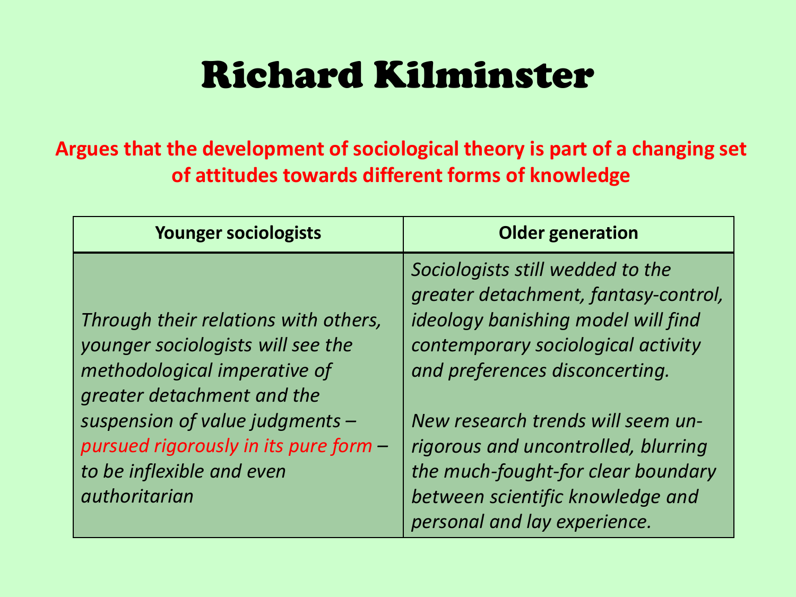## Richard Kilminster

#### **Argues that the development of sociological theory is part of a changing set of attitudes towards different forms of knowledge**

| <b>Younger sociologists</b>                                                                                                                                                                                                                                       | <b>Older generation</b>                                                                                                                                                                                                                                                                                                                                                      |
|-------------------------------------------------------------------------------------------------------------------------------------------------------------------------------------------------------------------------------------------------------------------|------------------------------------------------------------------------------------------------------------------------------------------------------------------------------------------------------------------------------------------------------------------------------------------------------------------------------------------------------------------------------|
| Through their relations with others,<br>younger sociologists will see the<br>methodological imperative of<br>greater detachment and the<br>suspension of value judgments -<br>pursued rigorously in its pure form -<br>to be inflexible and even<br>authoritarian | Sociologists still wedded to the<br>greater detachment, fantasy-control,<br>ideology banishing model will find<br>contemporary sociological activity<br>and preferences disconcerting.<br>New research trends will seem un-<br>rigorous and uncontrolled, blurring<br>the much-fought-for clear boundary<br>between scientific knowledge and<br>personal and lay experience. |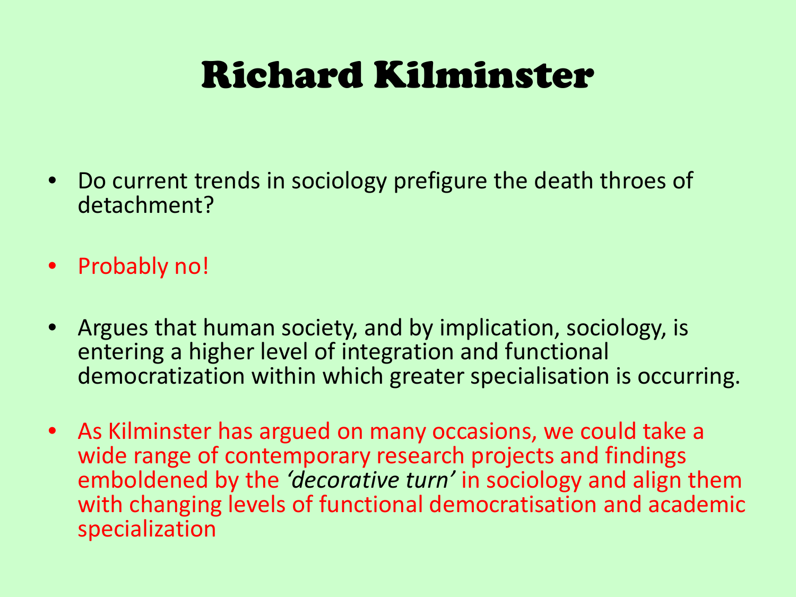## Richard Kilminster

- Do current trends in sociology prefigure the death throes of detachment?
- Probably no!
- Argues that human society, and by implication, sociology, is entering a higher level of integration and functional democratization within which greater specialisation is occurring.
- As Kilminster has argued on many occasions, we could take a wide range of contemporary research projects and findings emboldened by the *'decorative turn'* in sociology and align them with changing levels of functional democratisation and academic specialization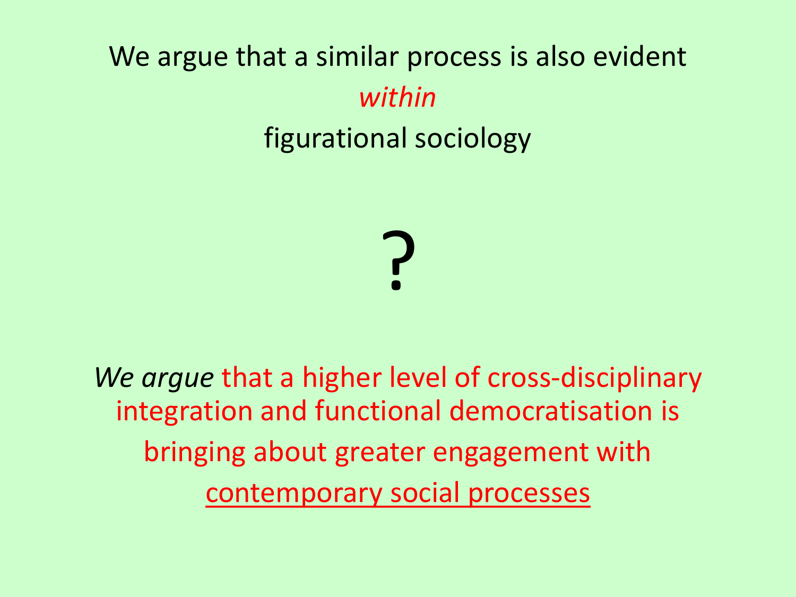### We argue that a similar process is also evident *within* figurational sociology



*We argue* that a higher level of cross-disciplinary integration and functional democratisation is bringing about greater engagement with contemporary social processes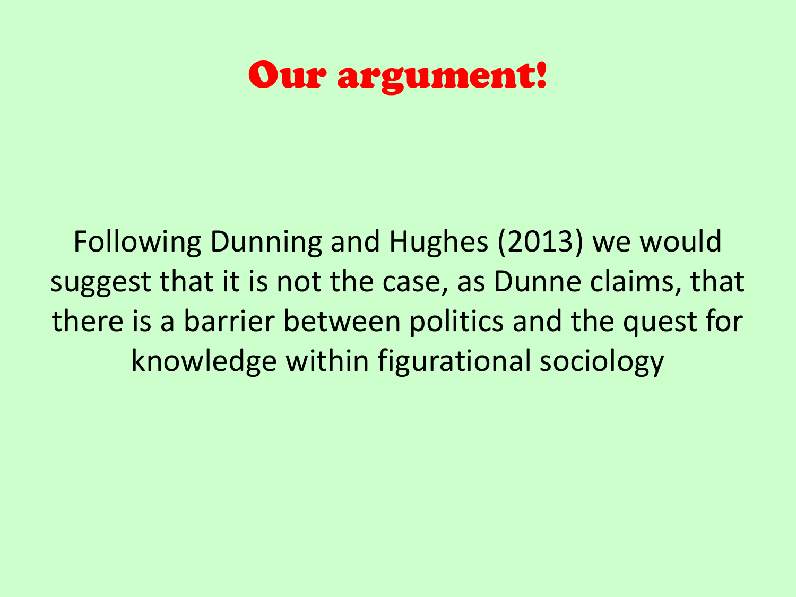### Our argument!

Following Dunning and Hughes (2013) we would suggest that it is not the case, as Dunne claims, that there is a barrier between politics and the quest for knowledge within figurational sociology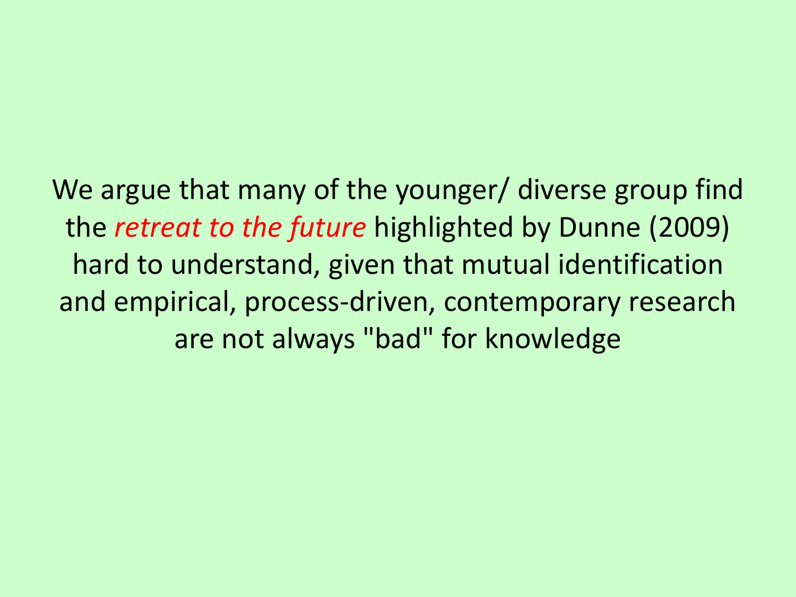We argue that many of the younger/ diverse group find the *retreat to the future* highlighted by Dunne (2009) hard to understand, given that mutual identification and empirical, process-driven, contemporary research are not always "bad" for knowledge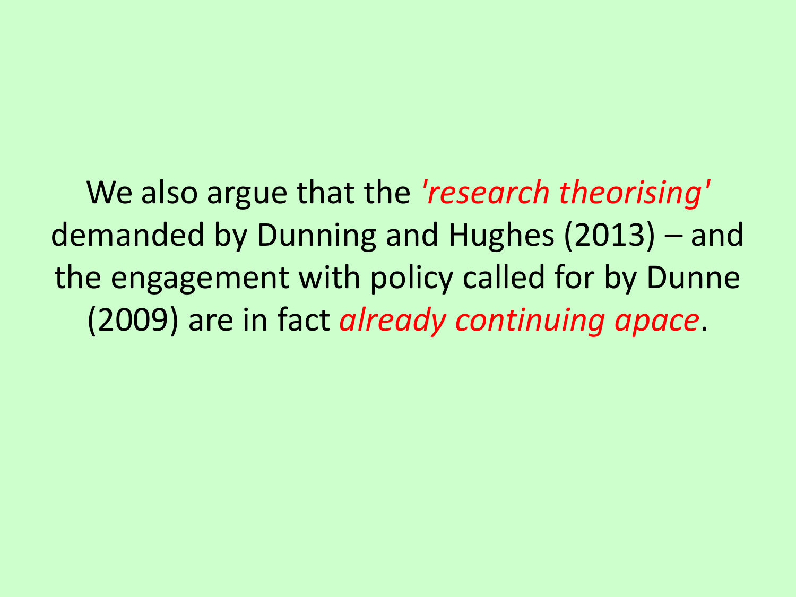We also argue that the *'research theorising'*  demanded by Dunning and Hughes (2013) – and the engagement with policy called for by Dunne (2009) are in fact *already continuing apace*.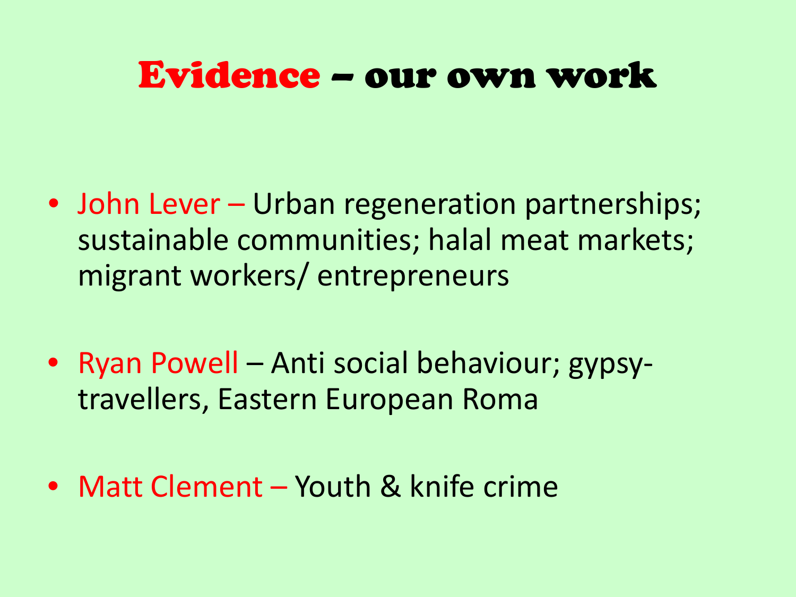### Evidence – our own work

- John Lever Urban regeneration partnerships; sustainable communities; halal meat markets; migrant workers/ entrepreneurs
- Ryan Powell Anti social behaviour; gypsytravellers, Eastern European Roma
- Matt Clement Youth & knife crime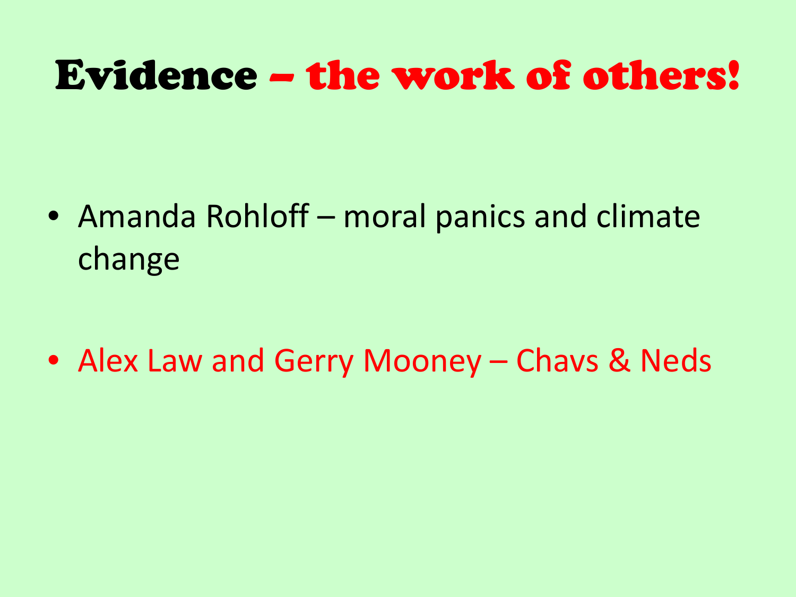## Evidence – the work of others!

• Amanda Rohloff – moral panics and climate change

• Alex Law and Gerry Mooney – Chavs & Neds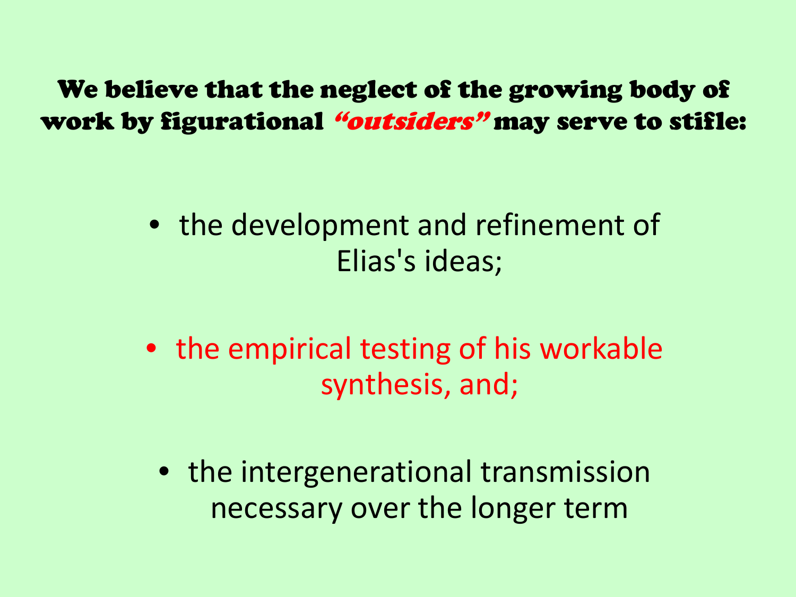We believe that the neglect of the growing body of work by figurational "outsiders" may serve to stifle:

- the development and refinement of Elias's ideas;
- the empirical testing of his workable synthesis, and;
	- the intergenerational transmission necessary over the longer term